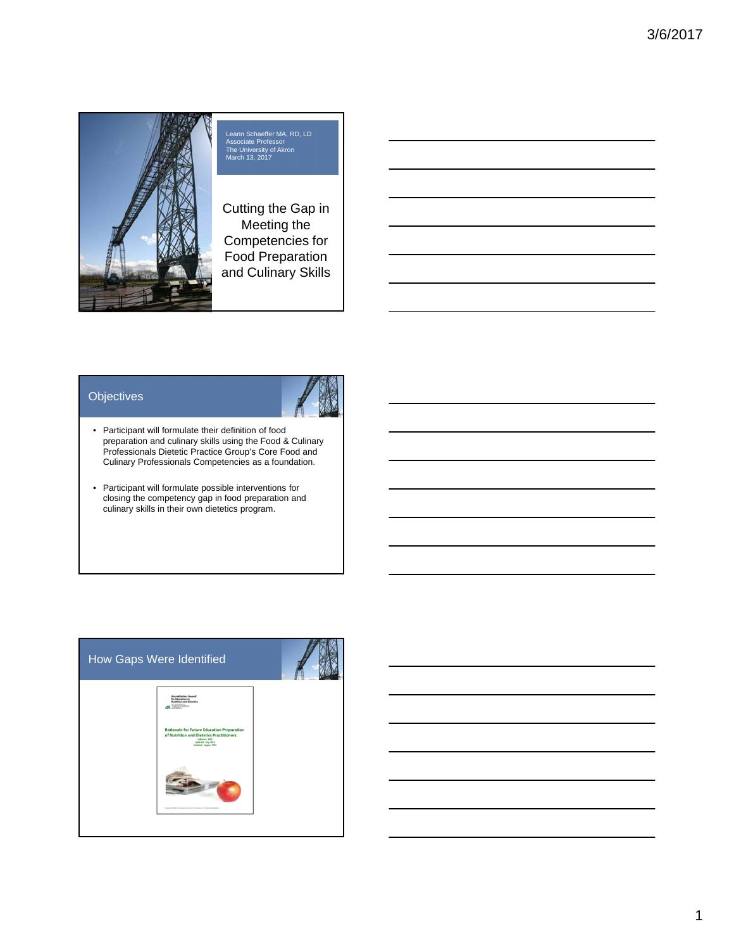

## Leann Schaeffer MA, RD, LD Associate Professor The University of Akron March 13, 2017

Cutting the Gap in Meeting the Competencies for Food Preparation and Culinary Skills

#### **Objectives**



- Participant will formulate their definition of food preparation and culinary skills using the Food & Culinary Professionals Dietetic Practice Group's Core Food and Culinary Professionals Competencies as a foundation.
- Participant will formulate possible interventions for closing the competency gap in food preparation and culinary skills in their own dietetics program.

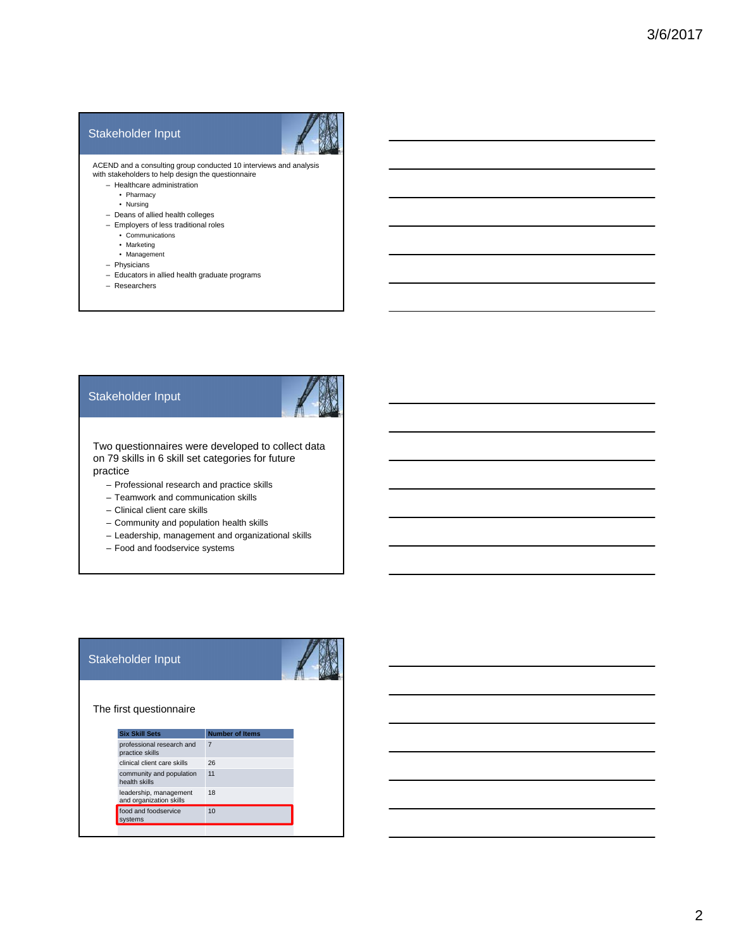#### Stakeholder Input



ACEND and a consulting group conducted 10 interviews and analysis with stakeholders to help design the questionnaire

- Healthcare administration
	- Pharmacy
	- Nursing
- Deans of allied health colleges – Employers of less traditional roles
	- Communications
	- Marketing
	- Management
- Physicians
- Educators in allied health graduate programs
- Researchers

#### Stakeholder Input



Two questionnaires were developed to collect data on 79 skills in 6 skill set categories for future practice

- Professional research and practice skills
- Teamwork and communication skills
- Clinical client care skills
- Community and population health skills
- Leadership, management and organizational skills
- Food and foodservice systems

#### Stakeholder Input



The first questionnaire

| <b>Number of Items</b> |
|------------------------|
| $\overline{7}$         |
| 26                     |
| 11                     |
| 18                     |
| 10                     |
|                        |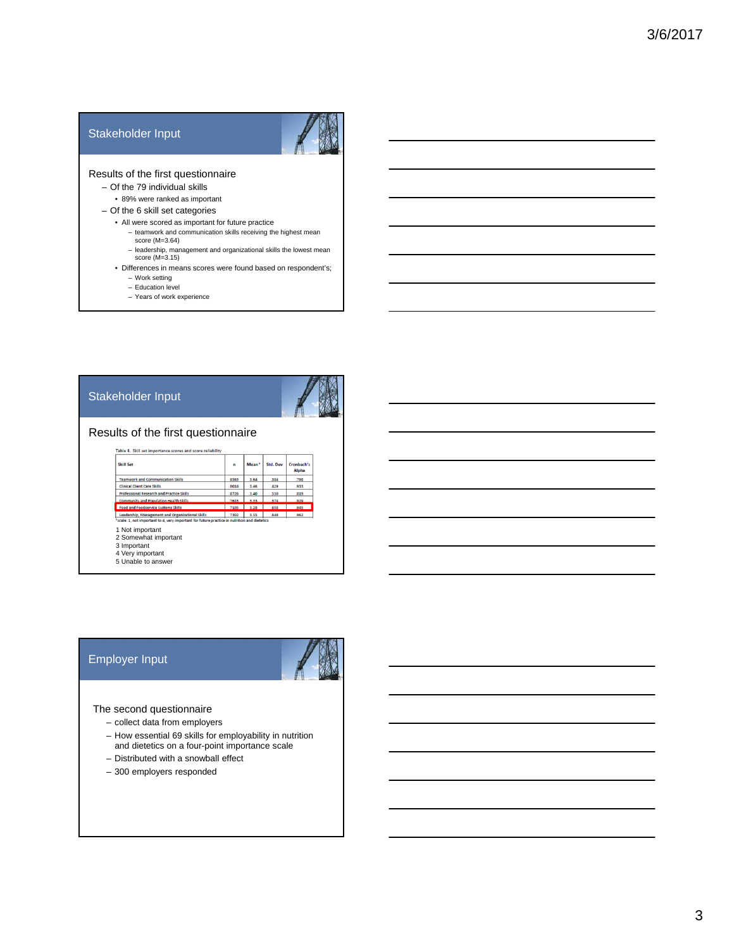#### Stakeholder Input



#### Results of the first questionnaire

- Of the 79 individual skills
	- 89% were ranked as important
- Of the 6 skill set categories
	- All were scored as important for future practice
		- teamwork and communication skills receiving the highest mean score (M=3.64)
		- leadership, management and organizational skills the lowest mean score (M=3.15)
	- Differences in means scores were found based on respondent's; – Work setting
		- Education level
		- Years of work experience

#### Stakeholder Input



#### Results of the first questionnaire

| .798<br>933 |
|-------------|
|             |
|             |
| 319         |
| 929         |
| 945         |
| 962         |
|             |

#### Employer Input



#### The second questionnaire

- collect data from employers
- How essential 69 skills for employability in nutrition and dietetics on a four-point importance scale
- Distributed with a snowball effect
- 300 employers responded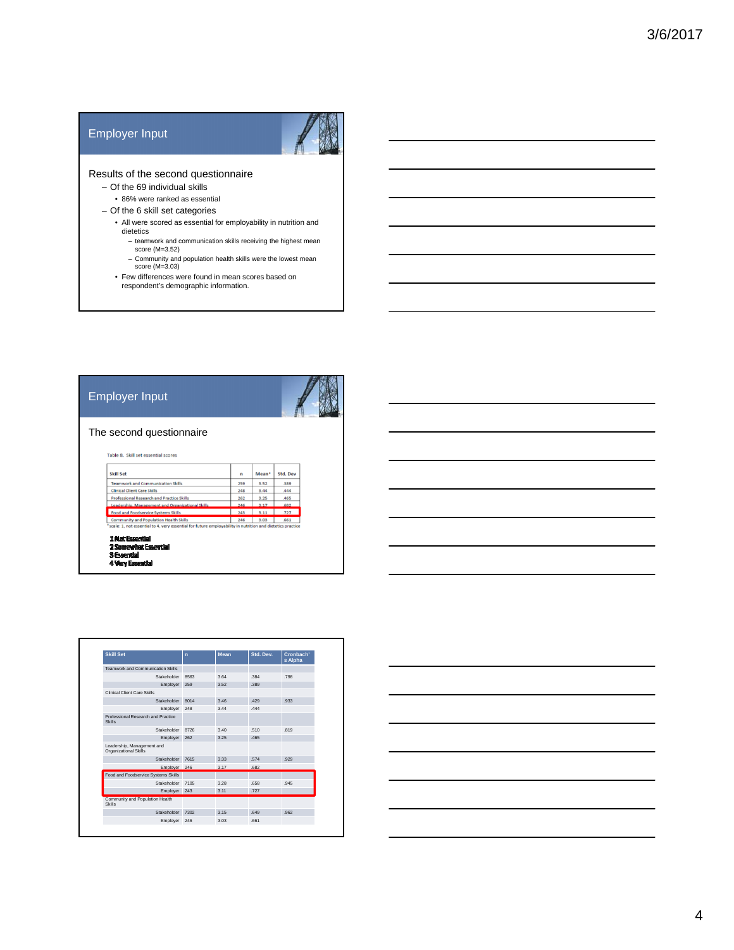#### Employer Input



#### Results of the second questionnaire

– Of the 69 individual skills

• 86% were ranked as essential

- Of the 6 skill set categories
	- All were scored as essential for employability in nutrition and dietetics
		- teamwork and communication skills receiving the highest mean score (M=3.52)
		- Community and population health skills were the lowest mean score (M=3.03)
	- Few differences were found in mean scores based on respondent's demographic information.

#### Employer Input



#### The second questionnaire

Table 8. Skill set essential scores

| <b>Skill Set</b>                                 | n   | Mean <sup>*</sup> | <b>Std. Dev</b> |
|--------------------------------------------------|-----|-------------------|-----------------|
| <b>Teamwork and Communication Skills</b>         | 259 | 3.52              | .389            |
| <b>Clinical Client Care Skills</b>               | 248 | 3.44              | .444            |
| <b>Professional Research and Practice Skills</b> | 262 | 3.25              | .465            |
| Leadership, Management and Organizational Skills | 246 | 317               | .682            |
| Food and Foodservice Systems Skills              | 243 | 3.11              | .727            |
| <b>Community and Population Health Skills</b>    | 246 | 3.03              | .661            |

1 Not Essential<br>2 Sourewhat Essential<br>3 Essential

4 Very Essential

| <b>Skill Set</b>                                    | $\mathbf{r}$ | <b>Mean</b> | Std. Dev. | Cronbach'<br>s Alpha |
|-----------------------------------------------------|--------------|-------------|-----------|----------------------|
| Teamwork and Communication Skills                   |              |             |           |                      |
| Stakeholder                                         | 8563         | 3.64        | 384       | 798                  |
| Employer                                            | 259          | 3.52        | 389       |                      |
| Clinical Client Care Skills                         |              |             |           |                      |
| Stakeholder                                         | 8014         | 3.46        | 429       | 933                  |
| Employer                                            | 248          | 3 4 4       | 444       |                      |
| Professional Research and Practice<br>Skills        |              |             |           |                      |
| Stakeholder                                         | 8726         | 3.40        | 510       | 819                  |
| Employer                                            | 262          | 3.25        | 465       |                      |
| Leadership, Management and<br>Organizational Skills |              |             |           |                      |
| Stakeholder                                         | 7615         | 3.33        | .574      | 929                  |
| Employer 246                                        |              | 3.17        | 682       |                      |
| Food and Foodservice Systems Skills                 |              |             |           |                      |
| Stakeholder                                         | 7105         | 3.28        | 658       | 945                  |
| Employer                                            | 243          | 3.11        | 727       |                      |
| Community and Population Health<br>Skills           |              |             |           |                      |
| Stakeholder                                         | 7302         | 3 15        | 649       | 962                  |
| Employer                                            | 246          | 3.03        | 661       |                      |

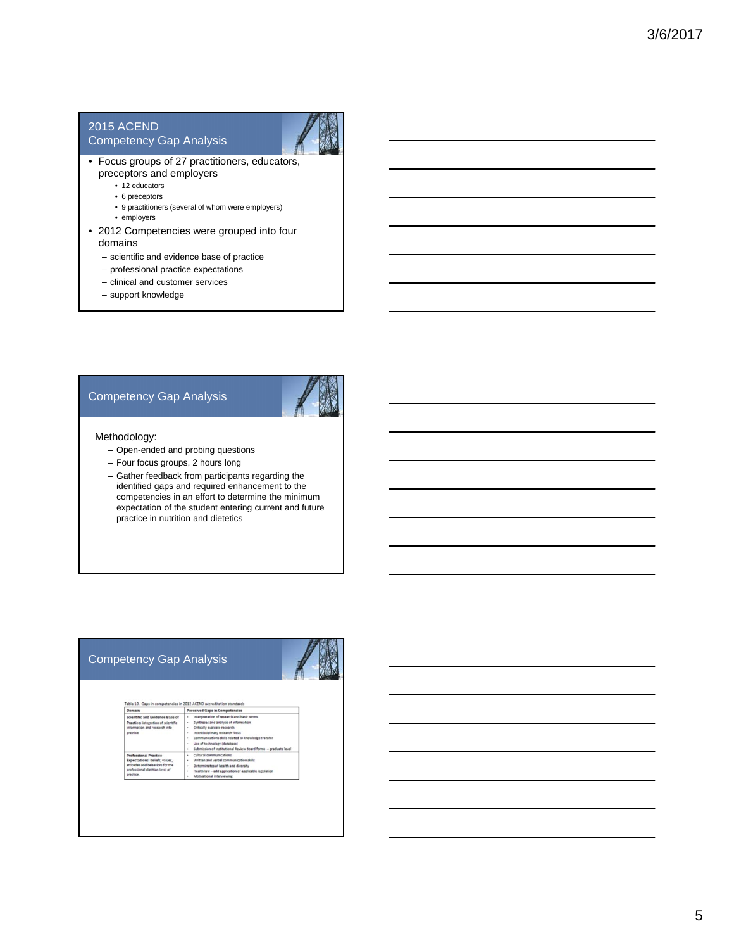#### 2015 ACEND

#### Competency Gap Analysis



- Focus groups of 27 practitioners, educators, preceptors and employers
	- 12 educators
	- 6 preceptors
	- 9 practitioners (several of whom were employers)
	- employers
- 2012 Competencies were grouped into four domains
	- scientific and evidence base of practice
	- professional practice expectations
	- clinical and customer services
	- support knowledge

#### Competency Gap Analysis



#### Methodology:

- Open-ended and probing questions
- Four focus groups, 2 hours long
- Gather feedback from participants regarding the identified gaps and required enhancement to the competencies in an effort to determine the minimum expectation of the student entering current and future practice in nutrition and dietetics

#### Competency Gap Analysis



# of research ar<br>analysis of inf<br>ate research

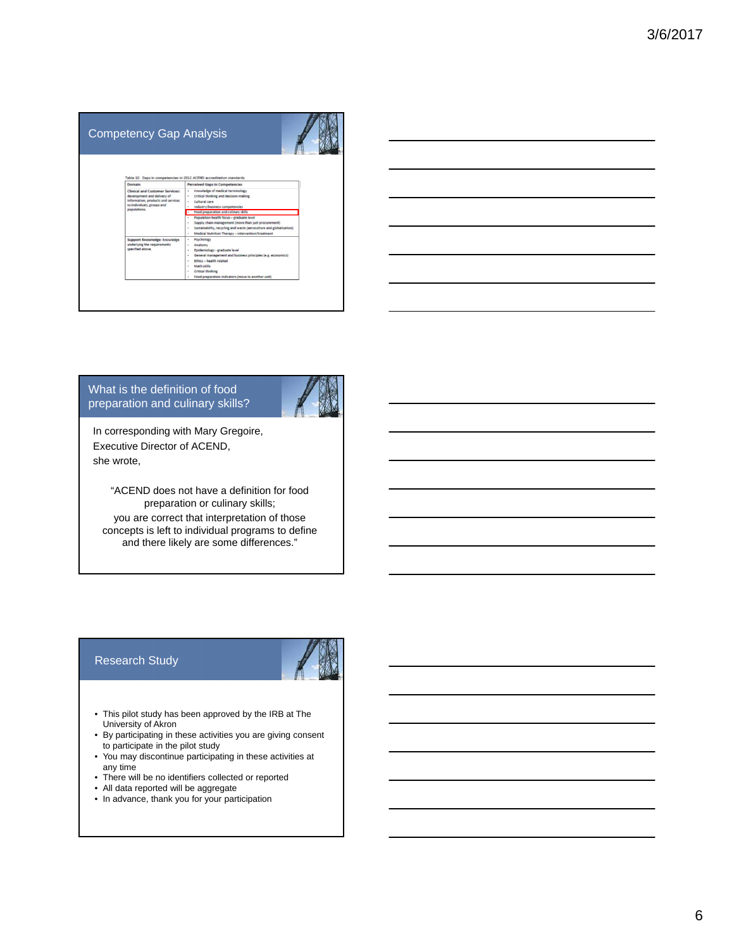## Competency Gap Analysis

### What is the definition of food preparation and culinary skills?



In corresponding with Mary Gregoire, Executive Director of ACEND, she wrote,

> "ACEND does not have a definition for food preparation or culinary skills;

you are correct that interpretation of those concepts is left to individual programs to define and there likely are some differences."

#### Research Study



- This pilot study has been approved by the IRB at The University of Akron
- By participating in these activities you are giving consent to participate in the pilot study
- You may discontinue participating in these activities at any time
- There will be no identifiers collected or reported
- All data reported will be aggregate
- In advance, thank you for your participation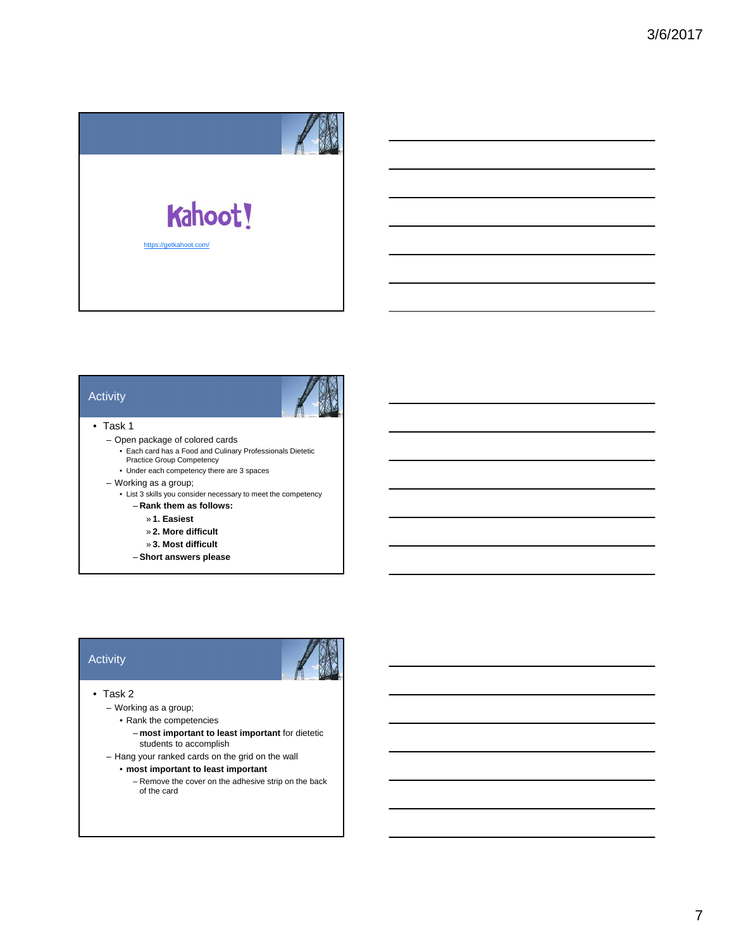

#### Activity



#### • Task 1

- Open package of colored cards
	- Each card has a Food and Culinary Professionals Dietetic Practice Group Competency
	- Under each competency there are 3 spaces
- Working as a group;
	- List 3 skills you consider necessary to meet the competency
		- **Rank them as follows:**
			- » **1. Easiest**
			- » **2. More difficult**
			- » **3. Most difficult**
		- **Short answers please**

#### **Activity**



#### • Task 2

- Working as a group;
	- Rank the competencies
		- **most important to least important** for dietetic students to accomplish
- Hang your ranked cards on the grid on the wall
	- **most important to least important**
		- Remove the cover on the adhesive strip on the back of the card